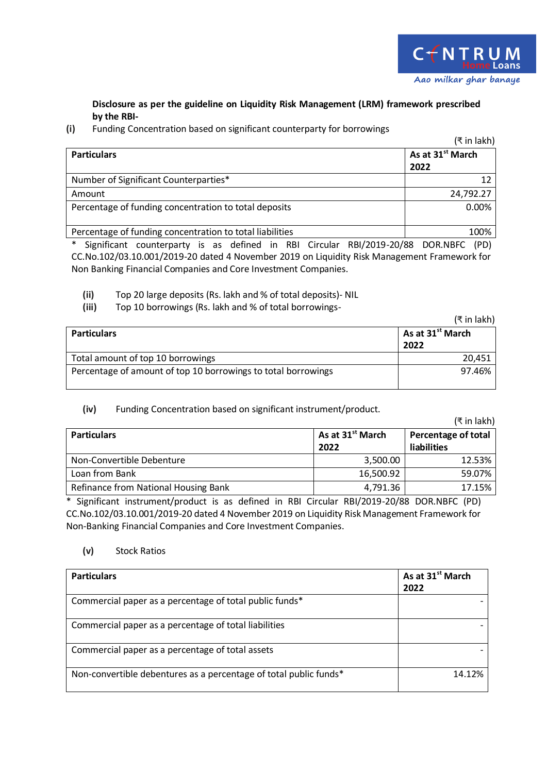## **Disclosure as per the guideline on Liquidity Risk Management (LRM) framework prescribed by the RBI-**

## **(i)** Funding Concentration based on significant counterparty for borrowings

|                                                          | (₹ in lakh)                          |
|----------------------------------------------------------|--------------------------------------|
| <b>Particulars</b>                                       | As at 31 <sup>st</sup> March<br>2022 |
| Number of Significant Counterparties*                    |                                      |
| Amount                                                   | 24,792.27                            |
| Percentage of funding concentration to total deposits    | 0.00%                                |
| Percentage of funding concentration to total liabilities | 100%                                 |

\* Significant counterparty is as defined in RBI Circular RBI/2019-20/88 DOR.NBFC (PD) CC.No.102/03.10.001/2019-20 dated 4 November 2019 on Liquidity Risk Management Framework for Non Banking Financial Companies and Core Investment Companies.

**(ii)** Top 20 large deposits (Rs. lakh and % of total deposits)- NIL

**(iii)** Top 10 borrowings (Rs. lakh and % of total borrowings-

|                                                               | (₹ in lakh)                  |
|---------------------------------------------------------------|------------------------------|
| <b>Particulars</b>                                            | As at 31 <sup>st</sup> March |
|                                                               | 2022                         |
| Total amount of top 10 borrowings                             | 20,451                       |
| Percentage of amount of top 10 borrowings to total borrowings | 97.46%                       |

## **(iv)** Funding Concentration based on significant instrument/product.

|                                      |                                      | (₹ in lakh)                                      |
|--------------------------------------|--------------------------------------|--------------------------------------------------|
| <b>Particulars</b>                   | As at 31 <sup>st</sup> March<br>2022 | <b>Percentage of total</b><br><b>liabilities</b> |
| Non-Convertible Debenture            | 3,500.00                             | 12.53%                                           |
| Loan from Bank                       | 16,500.92                            | 59.07%                                           |
| Refinance from National Housing Bank | 4,791.36                             | 17.15%                                           |

\* Significant instrument/product is as defined in RBI Circular RBI/2019-20/88 DOR.NBFC (PD) CC.No.102/03.10.001/2019-20 dated 4 November 2019 on Liquidity Risk Management Framework for Non-Banking Financial Companies and Core Investment Companies.

## **(v)** Stock Ratios

| <b>Particulars</b>                                                | As at 31 <sup>st</sup> March<br>2022 |
|-------------------------------------------------------------------|--------------------------------------|
| Commercial paper as a percentage of total public funds*           |                                      |
| Commercial paper as a percentage of total liabilities             |                                      |
| Commercial paper as a percentage of total assets                  |                                      |
| Non-convertible debentures as a percentage of total public funds* | 14.12%                               |